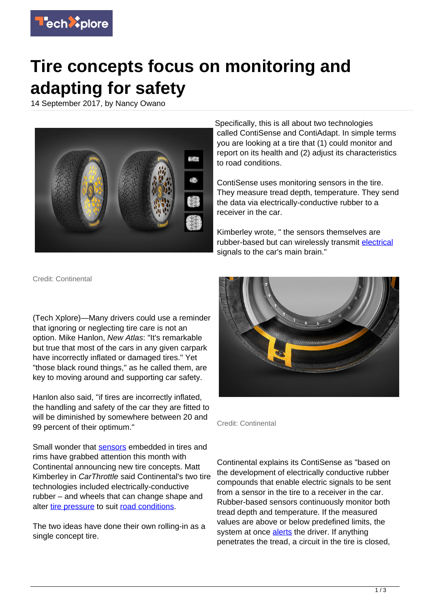

## **Tire concepts focus on monitoring and adapting for safety**

14 September 2017, by Nancy Owano



Specifically, this is all about two technologies called ContiSense and ContiAdapt. In simple terms you are looking at a tire that (1) could monitor and report on its health and (2) adjust its characteristics to road conditions.

ContiSense uses monitoring sensors in the tire. They measure tread depth, temperature. They send the data via electrically-conductive rubber to a receiver in the car.

Kimberley wrote, " the sensors themselves are rubber-based but can wirelessly transmit [electrical](https://www.carthrottle.com/post/this-baffling-new-wheel-and-tyre-concept-can-alter-its-footprint-for-changing-weather/) signals to the car's main brain."

Credit: Continental

(Tech Xplore)—Many drivers could use a reminder that ignoring or neglecting tire care is not an option, Mike Hanlon, New Atlas: "It's remarkable but true that most of the cars in any given carpark have incorrectly inflated or damaged tires." Yet "those black round things," as he called them, are key to moving around and supporting car safety.

Hanlon also said, "if tires are incorrectly inflated, the handling and safety of the car they are fitted to will be diminished by somewhere between 20 and 99 percent of their optimum."

Small wonder that [sensors](https://techxplore.com/tags/sensors/) embedded in tires and rims have grabbed attention this month with Continental announcing new tire concepts. Matt Kimberley in CarThrottle said Continental's two tire technologies included electrically-conductive rubber – and wheels that can change shape and alter [tire pressure](https://techxplore.com/tags/tire+pressure/) to suit [road conditions.](https://techxplore.com/tags/road+conditions/)

The two ideas have done their own rolling-in as a single concept tire.



Credit: Continental

Continental explains its ContiSense as "based on the development of electrically conductive rubber compounds that enable electric signals to be sent from a sensor in the tire to a receiver in the car. Rubber-based sensors continuously monitor both tread depth and temperature. If the measured values are above or below predefined limits, the system at once [alerts](http://www.continental-tires.com/car/media-services/newsroom/20170912-continental-presents-new-tire-technology-concepts) the driver. If anything penetrates the tread, a circuit in the tire is closed,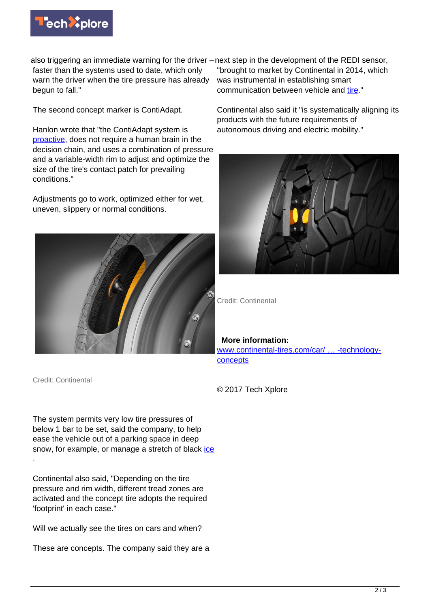

also triggering an immediate warning for the driver – next step in the development of the REDI sensor, faster than the systems used to date, which only warn the driver when the tire pressure has already begun to fall."

The second concept marker is ContiAdapt.

Hanlon wrote that "the ContiAdapt system is [proactive,](http://newatlas.com/continental-contisense-contiadapt-smart-tire-concepts/51317/) does not require a human brain in the decision chain, and uses a combination of pressure and a variable-width rim to adjust and optimize the size of the tire's contact patch for prevailing conditions."

Adjustments go to work, optimized either for wet, uneven, slippery or normal conditions.



Credit: Continental

.

The system permits very low tire pressures of below 1 bar to be set, said the company, to help ease the vehicle out of a parking space in deep snow, for example, or manage a stretch of black [ice](http://www.continentaltire.com/news/continental-presents-two-new-tire-technology-concepts-greater-safety-and-comfort)

Continental also said, "Depending on the tire pressure and rim width, different tread zones are activated and the concept tire adopts the required 'footprint' in each case."

Will we actually see the tires on cars and when?

These are concepts. The company said they are a

"brought to market by Continental in 2014, which was instrumental in establishing smart communication between vehicle and [tire](https://techxplore.com/tags/tire/)."

Continental also said it "is systematically aligning its products with the future requirements of autonomous driving and electric mobility."



Credit: Continental

**More information:**

[www.continental-tires.com/car/ … -technology](https://www.continental-tires.com/car/media-services/newsroom/20170912-continental-presents-new-tire-technology-concepts)**[concepts](https://www.continental-tires.com/car/media-services/newsroom/20170912-continental-presents-new-tire-technology-concepts)** 

© 2017 Tech Xplore